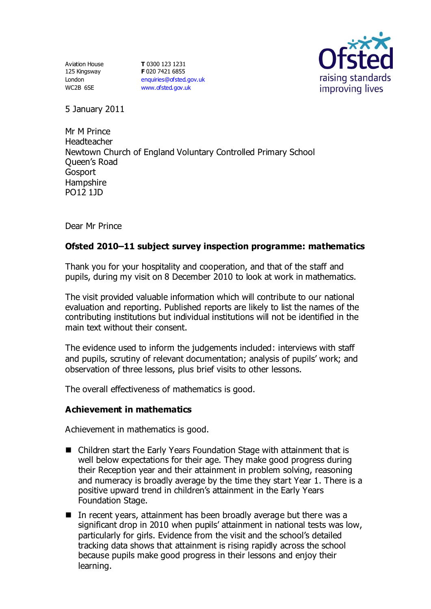Aviation House 125 Kingsway London WC2B 6SE

**T** 0300 123 1231 **F** 020 7421 6855 [enquiries@ofsted.gov.uk](mailto:enquiries@ofsted.gov.uk) [www.ofsted.gov.uk](http://www.ofsted.gov.uk/)



5 January 2011

Mr M Prince Headteacher Newtown Church of England Voluntary Controlled Primary School Queen's Road Gosport **Hampshire** PO12 1JD

Dear Mr Prince

# **Ofsted 2010–11 subject survey inspection programme: mathematics**

Thank you for your hospitality and cooperation, and that of the staff and pupils, during my visit on 8 December 2010 to look at work in mathematics.

The visit provided valuable information which will contribute to our national evaluation and reporting. Published reports are likely to list the names of the contributing institutions but individual institutions will not be identified in the main text without their consent.

The evidence used to inform the judgements included: interviews with staff and pupils, scrutiny of relevant documentation; analysis of pupils' work; and observation of three lessons, plus brief visits to other lessons.

The overall effectiveness of mathematics is good.

## **Achievement in mathematics**

Achievement in mathematics is good.

- Children start the Early Years Foundation Stage with attainment that is well below expectations for their age. They make good progress during their Reception year and their attainment in problem solving, reasoning and numeracy is broadly average by the time they start Year 1. There is a positive upward trend in children's attainment in the Early Years Foundation Stage.
- In recent years, attainment has been broadly average but there was a significant drop in 2010 when pupils' attainment in national tests was low, particularly for girls. Evidence from the visit and the school's detailed tracking data shows that attainment is rising rapidly across the school because pupils make good progress in their lessons and enjoy their learning.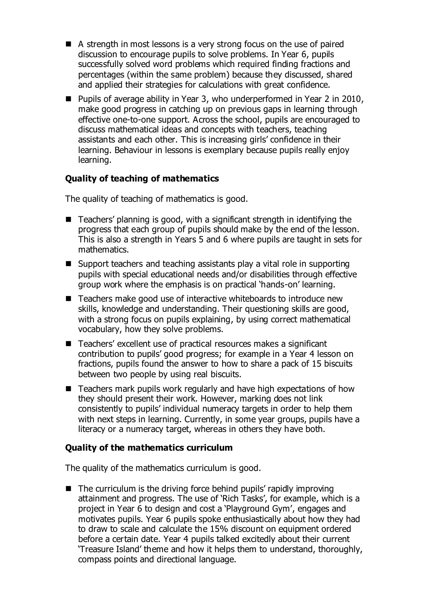- A strength in most lessons is a very strong focus on the use of paired discussion to encourage pupils to solve problems. In Year 6, pupils successfully solved word problems which required finding fractions and percentages (within the same problem) because they discussed, shared and applied their strategies for calculations with great confidence.
- Pupils of average ability in Year 3, who underperformed in Year 2 in 2010, make good progress in catching up on previous gaps in learning through effective one-to-one support. Across the school, pupils are encouraged to discuss mathematical ideas and concepts with teachers, teaching assistants and each other. This is increasing girls' confidence in their learning. Behaviour in lessons is exemplary because pupils really enjoy learning.

## **Quality of teaching of mathematics**

The quality of teaching of mathematics is good.

- Teachers' planning is good, with a significant strength in identifying the progress that each group of pupils should make by the end of the lesson. This is also a strength in Years 5 and 6 where pupils are taught in sets for mathematics.
- Support teachers and teaching assistants play a vital role in supporting pupils with special educational needs and/or disabilities through effective group work where the emphasis is on practical 'hands-on' learning.
- Teachers make good use of interactive whiteboards to introduce new skills, knowledge and understanding. Their questioning skills are good, with a strong focus on pupils explaining, by using correct mathematical vocabulary, how they solve problems.
- Teachers' excellent use of practical resources makes a significant contribution to pupils' good progress; for example in a Year 4 lesson on fractions, pupils found the answer to how to share a pack of 15 biscuits between two people by using real biscuits.
- Teachers mark pupils work regularly and have high expectations of how they should present their work. However, marking does not link consistently to pupils' individual numeracy targets in order to help them with next steps in learning. Currently, in some year groups, pupils have a literacy or a numeracy target, whereas in others they have both.

#### **Quality of the mathematics curriculum**

The quality of the mathematics curriculum is good.

■ The curriculum is the driving force behind pupils' rapidly improving attainment and progress. The use of 'Rich Tasks', for example, which is a project in Year 6 to design and cost a 'Playground Gym', engages and motivates pupils. Year 6 pupils spoke enthusiastically about how they had to draw to scale and calculate the 15% discount on equipment ordered before a certain date. Year 4 pupils talked excitedly about their current 'Treasure Island' theme and how it helps them to understand, thoroughly, compass points and directional language.